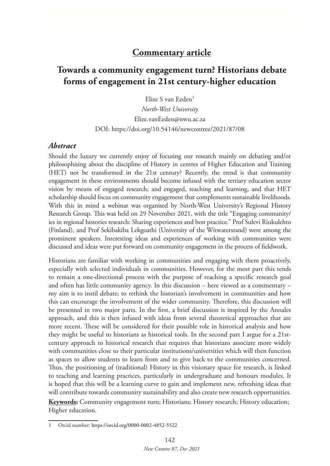## **Commentary article**

# **Towards a community engagement turn? Historians debate forms of engagement in 21st century-higher education**

Elize S van Eeden<sup>1</sup>

*North-West University* Elize.vanEeden@nwu.ac.za DOI: https://doi.org/10.54146/newcontree/2021/87/08

### *Abstract*

Should the luxury we currently enjoy of focusing our research mainly on debating and/or philosophising about the discipline of History in centres of Higher Education and Training (HET) not be transformed in the 21st century? Recently, the trend is that community engagement in these environments should become infused with the tertiary education sector vision by means of engaged research; and engaged, teaching and learning, and that HET scholarship should focus on community engagement that complements sustainable livelihoods. With this in mind a webinar was organised by North-West University's Regional History Research Group. This was held on 29 November 2021, with the title "Engaging community/ ies in regional histories research: Sharing experiences and best practice." Prof Sulevi Riukulehto (Finland), and Prof Sekibakiba Lekgoathi (University of the Witwatersrand) were among the prominent speakers. Interesting ideas and experiences of working with communities were discussed and ideas were put forward on community engagement in the process of fieldwork.

Historians are familiar with working in communities and engaging with them proactively, especially with selected individuals in communities. However, for the most part this tends to remain a one-directional process with the purpose of reaching a specific research goal and often has little community agency. In this discussion – here viewed as a commentary – my aim is to instil debate; to rethink the historian's involvement in communities and how this can encourage the involvement of the wider community. Therefore, this discussion will be presented in two major parts. In the first, a brief discussion is inspired by the Annales approach, and this is then infused with ideas from several theoretical approaches that are more recent. These will be considered for their possible role in historical analysis and how they might be useful to historians as historical tools. In the second part I argue for a 21stcentury approach to historical research that requires that historians associate more widely with communities close to their particular institutions/universities which will then function as spaces to allow students to learn from and to give back to the communities concerned. Thus, the positioning of (traditional) History in this visionary space for research, is linked to teaching and learning practices, particularly in undergraduate and honours modules. It is hoped that this will be a learning curve to gain and implement new, refreshing ideas that will contribute towards community sustainability and also create new research opportunities.

**Keywords:** Community engagement turn; Historians; History research; History education; Higher education.

<sup>1</sup> Orcid number: https://orcid.org/0000-0002-4852-5522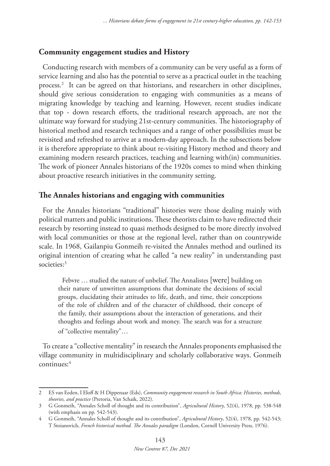## **Community engagement studies and History**

Conducting research with members of a community can be very useful as a form of service learning and also has the potential to serve as a practical outlet in the teaching process.2 It can be agreed on that historians, and researchers in other disciplines, should give serious consideration to engaging with communities as a means of migrating knowledge by teaching and learning. However, recent studies indicate that top - down research efforts, the traditional research approach, are not the ultimate way forward for studying 21st-century communities. The historiography of historical method and research techniques and a range of other possibilities must be revisited and refreshed to arrive at a modern-day approach. In the subsections below it is therefore appropriate to think about re-visiting History method and theory and examining modern research practices, teaching and learning with(in) communities. The work of pioneer Annales historians of the 1920s comes to mind when thinking about proactive research initiatives in the community setting.

## **The Annales historians and engaging with communities**

For the Annales historians "traditional" histories were those dealing mainly with political matters and public institutions. These theorists claim to have redirected their research by resorting instead to quasi methods designed to be more directly involved with local communities or those at the regional level, rather than on countrywide scale. In 1968, Gailanpiu Gonmeih re-visited the Annales method and outlined its original intention of creating what he called "a new reality" in understanding past societies:<sup>3</sup>

Febvre … studied the nature of unbelief. The Annalistes [were] building on their nature of unwritten assumptions that dominate the decisions of social groups, elucidating their attitudes to life, death, and time, their conceptions of the role of children and of the character of childhood, their concept of the family, their assumptions about the interaction of generations, and their thoughts and feelings about work and money. The search was for a structure of "collective mentality"…

To create a "collective mentality" in research the Annales proponents emphasised the village community in multidisciplinary and scholarly collaborative ways. Gonmeih continues:4

<sup>2</sup> ES van Eeden, I Eloff & H Dippenaar (Eds), *Community engagement research in South Africa: Histories, methods, theories, and practice* (Pretoria, Van Schaik, 2022).

<sup>3</sup> G Gonmeih, "Annales Scholl of thought and its contribution", *Agricultural History*, 52(4), 1978, pp. 538-548 (with emphasis on pp. 542-543).

<sup>4</sup> G Gonmeih, "Annales Scholl of thought and its contribution", *Agricultural History*, 52(4), 1978, pp. 542-543; T Stoianovich, *French historical method. The Annales paradigm* (London, Cornell University Press, 1976).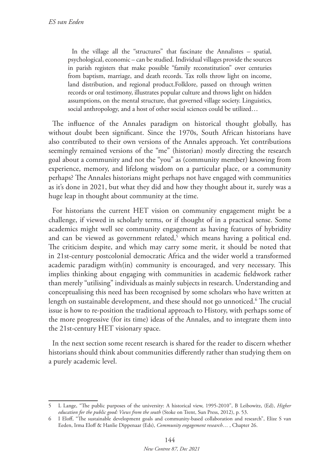In the village all the "structures" that fascinate the Annalistes – spatial, psychological, economic – can be studied. Individual villages provide the sources in parish registers that make possible "family reconstitution" over centuries from baptism, marriage, and death records. Tax rolls throw light on income, land distribution, and regional product.Folklore, passed on through written records or oral testimony, illustrates popular culture and throws light on hidden assumptions, on the mental structure, that governed village society. Linguistics, social anthropology, and a host of other social sciences could be utilized…

The influence of the Annales paradigm on historical thought globally, has without doubt been significant. Since the 1970s, South African historians have also contributed to their own versions of the Annales approach. Yet contributions seemingly remained versions of the "me" (historian) mostly directing the research goal about a community and not the "you" as (community member) knowing from experience, memory, and lifelong wisdom on a particular place, or a community perhaps? The Annales historians might perhaps not have engaged with communities as it's done in 2021, but what they did and how they thought about it, surely was a huge leap in thought about community at the time.

For historians the current HET vision on community engagement might be a challenge, if viewed in scholarly terms, or if thought of in a practical sense. Some academics might well see community engagement as having features of hybridity and can be viewed as government related,<sup>5</sup> which means having a political end. The criticism despite, and which may carry some merit, it should be noted that in 21st-century postcolonial democratic Africa and the wider world a transformed academic paradigm with(in) community is encouraged, and very necessary. This implies thinking about engaging with communities in academic fieldwork rather than merely "utilising" individuals as mainly subjects in research. Understanding and conceptualising this need has been recognised by some scholars who have written at length on sustainable development, and these should not go unnoticed.6 The crucial issue is how to re-position the traditional approach to History, with perhaps some of the more progressive (for its time) ideas of the Annales, and to integrate them into the 21st-century HET visionary space.

In the next section some recent research is shared for the reader to discern whether historians should think about communities differently rather than studying them on a purely academic level.

<sup>5</sup> L Lange, "The public purposes of the university: A historical view, 1995-2010", B Leibowitz, (Ed), *Higher education for the public good: Views from the south* (Stoke on Trent, Sun Press, 2012), p. 53.

<sup>6</sup> I Eloff, "The sustainable development goals and community-based collaboration and research", Elize S van Eeden, Irma Eloff & Hanlie Dippenaar (Eds), *Community engagement research*… , Chapter 26.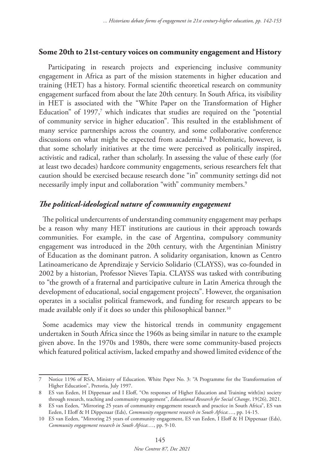#### **Some 20th to 21st-century voices on community engagement and History**

 Participating in research projects and experiencing inclusive community engagement in Africa as part of the mission statements in higher education and training (HET) has a history. Formal scientific theoretical research on community engagement surfaced from about the late 20th century. In South Africa, its visibility in HET is associated with the "White Paper on the Transformation of Higher Education" of 1997,<sup>7</sup> which indicates that studies are required on the "potential of community service in higher education". This resulted in the establishment of many service partnerships across the country, and some collaborative conference discussions on what might be expected from academia.8 Problematic, however, is that some scholarly initiatives at the time were perceived as politically inspired, activistic and radical, rather than scholarly. In assessing the value of these early (for at least two decades) hardcore community engagements, serious researchers felt that caution should be exercised because research done "in" community settings did not necessarily imply input and collaboration "with" community members.9

## *The political-ideological nature of community engagement*

The political undercurrents of understanding community engagement may perhaps be a reason why many HET institutions are cautious in their approach towards communities. For example, in the case of Argentina, compulsory community engagement was introduced in the 20th century, with the Argentinian Ministry of Education as the dominant patron. A solidarity organisation, known as Centro Latinoamericano de Aprendizaje y Servicio Solidario (CLAYSS), was co-founded in 2002 by a historian, Professor Nieves Tapia. CLAYSS was tasked with contributing to "the growth of a fraternal and participative culture in Latin America through the development of educational, social engagement projects". However, the organisation operates in a socialist political framework, and funding for research appears to be made available only if it does so under this philosophical banner.<sup>10</sup>

Some academics may view the historical trends in community engagement undertaken in South Africa since the 1960s as being similar in nature to the example given above. In the 1970s and 1980s, there were some community-based projects which featured political activism, lacked empathy and showed limited evidence of the

Notice 1196 of RSA, Ministry of Education. White Paper No. 3: "A Programme for the Transformation of Higher Education", Pretoria, July 1997.

<sup>8</sup> ES van Eeden, H Dippenaar and I Eloff, "On responses of Higher Education and Training with(in) society through research, teaching and community engagement", *Educational Research for Social Change*, 19(26), 2021.

<sup>8</sup> ES van Eeden, "Mirroring 25 years of community engagement research and practice in South Africa", ES van Eeden, I Eloff & H Dippenaar (Eds), *Community engagement research in South Africa*:…, pp. 14-15.

<sup>10</sup> ES van Eeden, "Mirroring 25 years of community engagement, ES van Eeden, I Eloff & H Dippenaar (Eds), *Community engagement research in South Africa*:…, pp. 9-10.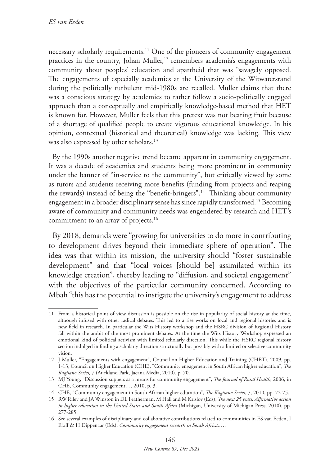necessary scholarly requirements.11 One of the pioneers of community engagement practices in the country, Johan Muller,<sup>12</sup> remembers academia's engagements with community about peoples' education and apartheid that was "savagely opposed. The engagements of especially academics at the University of the Witwatersrand during the politically turbulent mid-1980s are recalled. Muller claims that there was a conscious strategy by academics to rather follow a socio-politically engaged approach than a conceptually and empirically knowledge-based method that HET is known for. However, Muller feels that this pretext was not bearing fruit because of a shortage of qualified people to create vigorous educational knowledge. In his opinion, contextual (historical and theoretical) knowledge was lacking. This view was also expressed by other scholars.<sup>13</sup>

By the 1990s another negative trend became apparent in community engagement. It was a decade of academics and students being more prominent in community under the banner of "in-service to the community", but critically viewed by some as tutors and students receiving more benefits (funding from projects and reaping the rewards) instead of being the "benefit-bringers".14 Thinking about community engagement in a broader disciplinary sense has since rapidly transformed.15 Becoming aware of community and community needs was engendered by research and HET's commitment to an array of projects.<sup>16</sup>

By 2018, demands were "growing for universities to do more in contributing to development drives beyond their immediate sphere of operation". The idea was that within its mission, the university should "foster sustainable development" and that "local voices [should be] assimilated within its knowledge creation", thereby leading to "diffusion, and societal engagement" with the objectives of the particular community concerned. According to Mbah "this has the potential to instigate the university's engagement to address

<sup>11</sup> From a historical point of view discussion is possible on the rise in popularity of social history at the time, although infused with other radical debates. This led to a rise works on local and regional histories and is new field in research. In particular the Wits History workshop and the HSRC division of Regional History fall within the ambit of the most prominent debates. At the time the Wits History Workshop expressed an emotional kind of political activism with limited scholarly direction. This while the HSRC regional history section indulged in finding a scholarly direction structurally but possibly with a limited or selective community vision.

<sup>12</sup> J Muller, "Engagements with engagement", Council on Higher Education and Training (CHET), 2009, pp. 1-13; Council on Higher Education (CHE), "Community engagement in South African higher education", *The Kagisano Series,* 7 (Auckland Park, Jacana Media, 2010), p. 70.

<sup>13</sup> MJ Young, "Discussion suppers as a means for community engagement", *The Journal of Rural Health*, 2006, in CHE, Community engagement…, 2010, p. 3.

<sup>14</sup> CHE, "Community engagement in South African higher education", *The Kagisano Series*, 7, 2010, pp. 72-75.

<sup>15</sup> RW Riley and JA Winston in DL Featherman, M Hall and M Krislov (Eds), *The next 25 years: Affirmative action in higher education in the United States and South Africa* (Michigan, University of Michigan Press, 2010), pp. 277-285.

<sup>16</sup> See several examples of disciplinary and collaborative contributions related to communities in ES van Eeden, I Eloff & H Dippenaar (Eds), *Community engagement research in South Africa*:….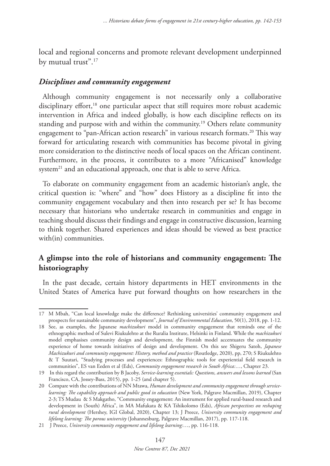local and regional concerns and promote relevant development underpinned by mutual trust".<sup>17</sup>

## *Disciplines and community engagement*

Although community engagement is not necessarily only a collaborative disciplinary effort,<sup>18</sup> one particular aspect that still requires more robust academic intervention in Africa and indeed globally, is how each discipline reflects on its standing and purpose with and within the community.<sup>19</sup> Others relate community engagement to "pan-African action research" in various research formats.<sup>20</sup> This way forward for articulating research with communities has become pivotal in giving more consideration to the distinctive needs of local spaces on the African continent. Furthermore, in the process, it contributes to a more "Africanised" knowledge system<sup>21</sup> and an educational approach, one that is able to serve Africa.

To elaborate on community engagement from an academic historian's angle, the critical question is: "where" and "how" does History as a discipline fit into the community engagement vocabulary and then into research per se? It has become necessary that historians who undertake research in communities and engage in teaching should discuss their findings and engage in constructive discussion, learning to think together. Shared experiences and ideas should be viewed as best practice with(in) communities.

## **A glimpse into the role of historians and community engagement: The historiography**

In the past decade, certain history departments in HET environments in the United States of America have put forward thoughts on how researchers in the

<sup>17</sup> M Mbah, "Can local knowledge make the difference? Rethinking universities' community engagement and prospects for sustainable community development", *Journal of Environmental Education*, 50(1), 2018, pp. 1-12.

<sup>18</sup> See, as examples, the Japanese *machizukuri* model in community engagement that reminds one of the ethnographic method of Sulevi Riukulehto at the Ruralia Institute, Helsinki in Finland. While the *machizukuri* model emphasises community design and development, the Finnish model accentuates the community experience of home towards initiatives of design and development. On this see Shigeru Satoh, *Japanese Machizukuri and community engagement: History, method and practice* (Routledge, 2020), pp, 270; S Riukulehto & T Suutari, "Studying processes and experiences: Ethnographic tools for experiential field research in communities", ES van Eeden et al (Eds), *Community engagement research in South Africa:*…, Chapter 23.

<sup>19</sup> In this regard the contribution by B Jacoby, *Service-learning essentials: Questions, answers and lessons learned* (San Francisco, CA, Jossey-Bass, 2015), pp. 1-25 (and chapter 5).

<sup>20</sup> Compare with the contributions of NN Mtawa, *Human development and community engagement through servicelearning: The capability approach and public good in education* (New York, Palgrave Macmillan, 2019), Chapter 2-3; TS Mudau & S Makgatho, "Community engagement: An instrument for applied rural-based research and development in (South) Africa", in MA Mafukata & KA Tshikolomo (Eds), *African perspectives on reshaping rural development* (Hershey, IGI Global, 2020), Chapter 13; J Preece, *University community engagement and lifelong learning: The porous university* (Johannesburg, Palgrave Macmillan, 2017), pp. 117-118.

<sup>21</sup> J Preece, *University community engagement and lifelong learning:*…, pp. 116-118.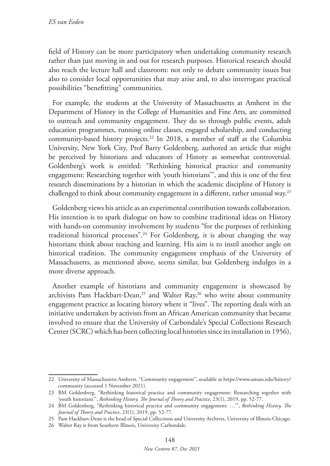field of History can be more participatory when undertaking community research rather than just moving in and out for research purposes. Historical research should also reach the lecture hall and classroom: not only to debate community issues but also to consider local opportunities that may arise and, to also interrogate practical possibilities "benefitting" communities.

For example, the students at the University of Massachusetts at Amherst in the Department of History in the College of Humanities and Fine Arts, are committed to outreach and community engagement. They do so through public events, adult education programmes, running online classes, engaged scholarship, and conducting community-based history projects.22 In 2018, a member of staff at the Columbia University, New York City, Prof Barry Goldenberg, authored an article that might be perceived by historians and educators of History as somewhat controversial. Goldenberg's work is entitled: "Rethinking historical practice and community engagement: Researching together with 'youth historians'", and this is one of the first research disseminations by a historian in which the academic discipline of History is challenged to think about community engagement in a different, rather unusual way.23

Goldenberg views his article as an experimental contribution towards collaboration. His intention is to spark dialogue on how to combine traditional ideas on History with hands-on community involvement by students "for the purposes of rethinking traditional historical processes".<sup>24</sup> For Goldenberg, it is about changing the way historians think about teaching and learning. His aim is to instil another angle on historical tradition. The community engagement emphasis of the University of Massachusetts, as mentioned above, seems similar, but Goldenberg indulges in a more diverse approach.

Another example of historians and community engagement is showcased by archivists Pam Hackbart-Dean,<sup>25</sup> and Walter Ray,<sup>26</sup> who write about community engagement practice as locating history where it "lives". The reporting deals with an initiative undertaken by activists from an African American community that became involved to ensure that the University of Carbondale's Special Collections Research Center (SCRC) which has been collecting local histories since its installation in 1956),

<sup>22</sup> University of Massachusetts Amherst, "Community engagement", available at https://www.umass.edu/history/ community (accessed 1 November 2021).

<sup>23</sup> BM Goldenberg, "Rethinking historical practice and community engagement: Researching together with 'youth historians'", *Rethinking History. The Journal of Theory and Practice*, 23(1), 2019, pp. 52-77.

<sup>24</sup> BM Goldenberg, "Rethinking historical practice and community engagement: …'", *Rethinking History, The Journal of Theory and Practice*, 23(1), 2019, pp. 52-77.

<sup>25</sup> Pam Hackbart-Dean is the head of Special Collections and University Archives, University of Illinois-Chicago.

<sup>26</sup> Walter Ray is from Southern Illinois, University Carbondale.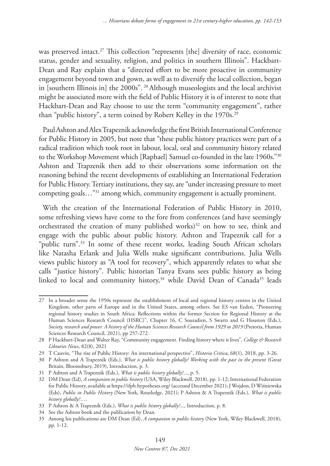was preserved intact.<sup>27</sup> This collection "represents [the] diversity of race, economic status, gender and sexuality, religion, and politics in southern Illinois". Hackbart-Dean and Ray explain that a "directed effort to be more proactive in community engagement beyond town and gown, as well as to diversify the local collection, began in [southern Illinois in] the 2000s". 28 Although museologists and the local archivist might be associated more with the field of Public History it is of interest to note that Hackbart-Dean and Ray choose to use the term "community engagement", rather than "public history", a term coined by Robert Kelley in the 1970s.<sup>29</sup>

Paul Ashton and Alex Trapeznik acknowledge the first British International Conference for Public History in 2005, but note that "these public history practices were part of a radical tradition which took root in labour, local, oral and community history related to the Workshop Movement which [Raphael] Samuel co-founded in the late 1960s."30 Ashton and Trapzenik then add to their observations some information on the reasoning behind the recent developments of establishing an International Federation for Public History. Tertiary institutions, they say, are "under increasing pressure to meet competing goals…"31 among which, community engagement is actually prominent.

With the creation of the International Federation of Public History in 2010, some refreshing views have come to the fore from conferences (and have seemingly orchestrated the creation of many published works)<sup>32</sup> on how to see, think and engage with the public about public history. Ashton and Trapeznik call for a "public turn".<sup>33</sup> In some of these recent works, leading South African scholars like Natasha Erlank and Julia Wells make significant contributions. Julia Wells views public history as "A tool for recovery", which apparently relates to what she calls "justice history". Public historian Tanya Evans sees public history as being linked to local and community history,<sup>34</sup> while David Dean of Canada<sup>35</sup> leads

<sup>27</sup> In a broader sense the 1950s represent the establishment of local and regional history centres in the United Kingdom, other parts of Europe and in the United States, among others. See ES van Eeden, "Pioneering regional history studies in South Africa: Reflections within the former Section for Regional History at the Human Sciences Research Council (HSRC)", Chapter 16, C Souradien, S Swartz and G Houston (Eds.), *Society, research and power. A history of the Human Sciences Research Council from 1929 to 2019* (Pretoria, Human Sciences Research Council, 2021), pp 257-272.

<sup>28</sup> P Hackbart-Dean and Walter Ray, "Community engagement. Finding history where it lives", *College & Research Libraries News*, 82(8), 2021

<sup>29</sup> T Cauvin, "The rise of Public History: An international perspective", *Historia Critica*, 68(1), 2018, pp. 3-26.

<sup>30</sup> P Ashton and A Trapeznik (Eds.), *What is public history globally? Working with the past in the present* (Great Britain, Bloomsbury, 2019), Introduction, p. 3.

<sup>31</sup> P Ashton and A Trapeznik (Eds.), *What is public history globally?*..., p. 5.

<sup>32</sup> DM Dean (Ed), *A companion to public history* (USA, Wiley Blackwell, 2018), pp. 1-12; International Federation for Public History, available at https://ifph.hypotheses.org/ (accessed December 2021); J Wojdon, D Wiśniewska (Eds), *Public in Public History* (New York, Routledge, 2021); P Ashton & A Trapeznik (Eds.), *What is public history globally?*….

<sup>33</sup> P Ashton & A Trapeznik (Eds.), *What is public history globally?*..., Introduction, p. 8.

<sup>34</sup> See the Ashton book and the publication by Dean.

<sup>35</sup> Among his publications are DM Dean (Ed), *A companion to public history* (New York, Wiley Blackwell, 2018), pp. 1-12.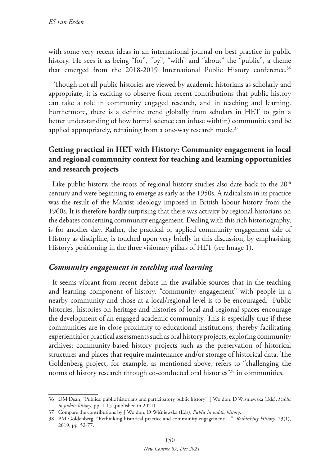with some very recent ideas in an international journal on best practice in public history. He sees it as being "for", "by", "with" and "about" the "public", a theme that emerged from the 2018-2019 International Public History conference.<sup>36</sup>

 Though not all public histories are viewed by academic historians as scholarly and appropriate, it is exciting to observe from recent contributions that public history can take a role in community engaged research, and in teaching and learning. Furthermore, there is a definite trend globally from scholars in HET to gain a better understanding of how formal science can infuse with(in) communities and be applied appropriately, refraining from a one-way research mode.<sup>37</sup>

## **Getting practical in HET with History: Community engagement in local and regional community context for teaching and learning opportunities and research projects**

Like public history, the roots of regional history studies also date back to the  $20<sup>th</sup>$ century and were beginning to emerge as early as the 1950s. A radicalism in its practice was the result of the Marxist ideology imposed in British labour history from the 1960s. It is therefore hardly surprising that there was activity by regional historians on the debates concerning community engagement. Dealing with this rich historiography, is for another day. Rather, the practical or applied community engagement side of History as discipline, is touched upon very briefly in this discussion, by emphasising History's positioning in the three visionary pillars of HET (see Image 1).

## *Community engagement in teaching and learning*

It seems vibrant from recent debate in the available sources that in the teaching and learning component of history, "community engagement" with people in a nearby community and those at a local/regional level is to be encouraged. Public histories, histories on heritage and histories of local and regional spaces encourage the development of an engaged academic community. This is especially true if these communities are in close proximity to educational institutions, thereby facilitating experiential or practical assessments such as oral history projects; exploring community archives; community-based history projects such as the preservation of historical structures and places that require maintenance and/or storage of historical data. The Goldenberg project, for example, as mentioned above, refers to "challenging the norms of history research through co-conducted oral histories"<sup>38</sup> in communities.

<sup>36</sup> DM Dean, "Publics, public historians and participatory public history", J Wojdon, D Wiśniewska (Eds), *Public in public history*, pp. 1-15 (published in 2021)

<sup>37</sup> Compare the contributions by J Wojdon, D Wiśniewska (Eds), *Public in public history*.

<sup>38</sup> BM Goldenberg, "Rethinking historical practice and community engagement: ...", *Rethinking History*, 23(1), 2019, pp. 52-77.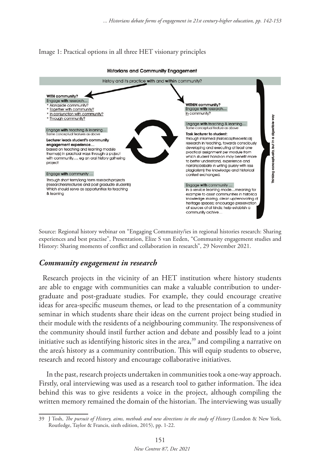### Image 1: Practical options in all three HET visionary principles



Source: Regional history webinar on "Engaging Community/ies in regional histories research: Sharing experiences and best practise", Presentation, Elize S van Eeden, "Community engagement studies and History: Sharing moments of conflict and collaboration in research", 29 November 2021.

## *Community engagement in research*

Research projects in the vicinity of an HET institution where history students are able to engage with communities can make a valuable contribution to undergraduate and post-graduate studies. For example, they could encourage creative ideas for area-specific museum themes, or lead to the presentation of a community seminar in which students share their ideas on the current project being studied in their module with the residents of a neighbouring community. The responsiveness of the community should instil further action and debate and possibly lead to a joint initiative such as identifying historic sites in the area,<sup>39</sup> and compiling a narrative on the area's history as a community contribution. This will equip students to observe, research and record history and encourage collaborative initiatives.

 In the past, research projects undertaken in communities took a one-way approach. Firstly, oral interviewing was used as a research tool to gather information. The idea behind this was to give residents a voice in the project, although compiling the written memory remained the domain of the historian. The interviewing was usually

<sup>39</sup> J Tosh, *The pursuit of History, aims, methods and new directions in the study of History* (London & New York, Routledge, Taylor & Francis, sixth edition, 2015), pp. 1-22.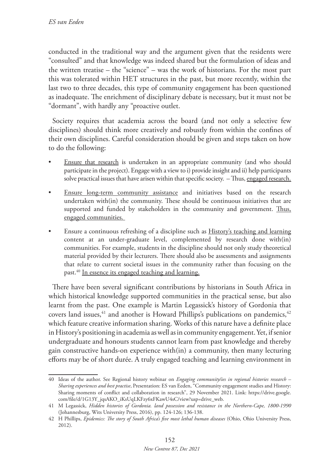conducted in the traditional way and the argument given that the residents were "consulted" and that knowledge was indeed shared but the formulation of ideas and the written treatise – the "science" – was the work of historians. For the most part this was tolerated within HET structures in the past, but more recently, within the last two to three decades, this type of community engagement has been questioned as inadequate. The enrichment of disciplinary debate is necessary, but it must not be "dormant", with hardly any "proactive outlet.

Society requires that academia across the board (and not only a selective few disciplines) should think more creatively and robustly from within the confines of their own disciplines. Careful consideration should be given and steps taken on how to do the following:

- Ensure that research is undertaken in an appropriate community (and who should participate in the project). Engage with a view to i) provide insight and ii) help participants solve practical issues that have arisen within that specific society. - Thus, engaged research.
- Ensure long-term community assistance and initiatives based on the research undertaken with(in) the community. These should be continuous initiatives that are supported and funded by stakeholders in the community and government. Thus, engaged communities.
- Ensure a continuous refreshing of a discipline such as History's teaching and learning content at an under-graduate level, complemented by research done with(in) communities. For example, students in the discipline should not only study theoretical material provided by their lecturers. There should also be assessments and assignments that relate to current societal issues in the community rather than focusing on the past.40 In essence its engaged teaching and learning.

There have been several significant contributions by historians in South Africa in which historical knowledge supported communities in the practical sense, but also learnt from the past. One example is Martin Legassick's history of Gordonia that covers land issues, $41$  and another is Howard Phillips's publications on pandemics, $42$ which feature creative information sharing. Works of this nature have a definite place in History's positioning in academia as well as in community engagement. Yet, if senior undergraduate and honours students cannot learn from past knowledge and thereby gain constructive hands-on experience with(in) a community, then many lecturing efforts may be of short durée. A truly engaged teaching and learning environment in

<sup>40</sup> Ideas of the author. See Regional history webinar on *Engaging community/ies in regional histories research – Sharing experiences and best practise*, Presentation: ES van Eeden, "Community engagement studies and History: Sharing moments of conflict and collaboration in research", 29 November 2021. Link: https://drive.google. com/file/d/1G13Y\_jqsAKO\_iKsUqLKFzy6xFKawU4sC/view?usp=drive\_web.

<sup>41</sup> M Legassick, *Hidden histories of Gordonia. land possession and resistance in the Northern-Cape, 1800-1990*  (Johannesburg, Wits University Press, 2016), pp. 124-126; 136-138.

<sup>42</sup> H Phillips, *Epidemics: The story of South Africa's five most lethal human diseases* (Ohio, Ohio University Press, 2012).